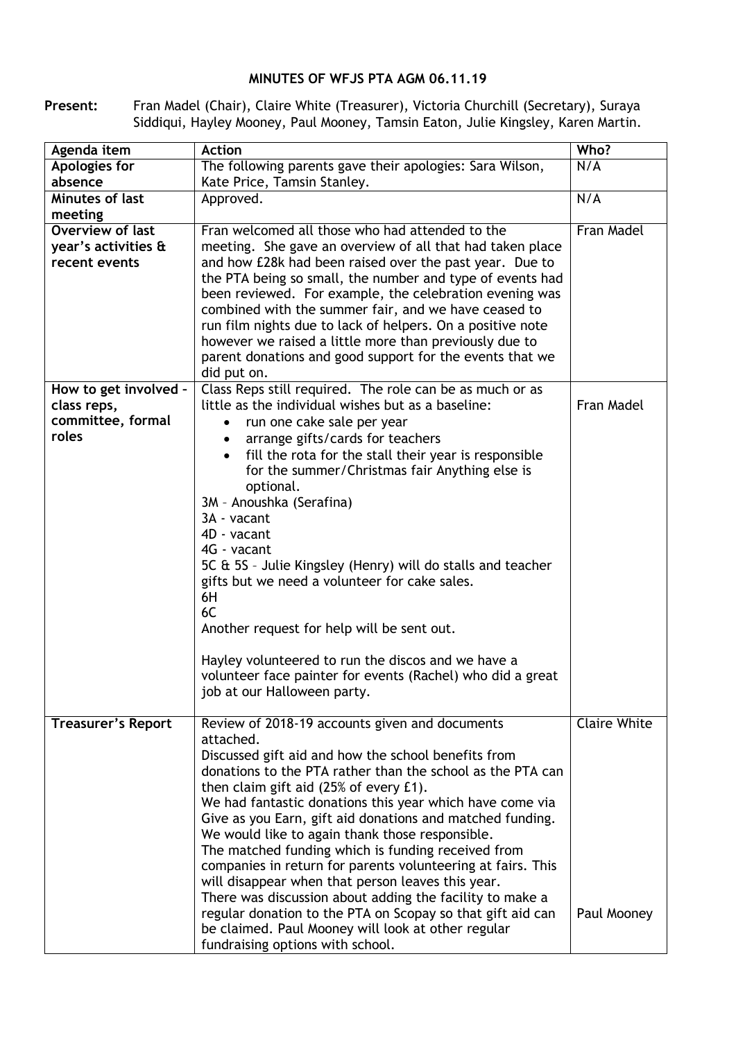## **MINUTES OF WFJS PTA AGM 06.11.19**

**Present:** Fran Madel (Chair), Claire White (Treasurer), Victoria Churchill (Secretary), Suraya Siddiqui, Hayley Mooney, Paul Mooney, Tamsin Eaton, Julie Kingsley, Karen Martin.

| Agenda item               | <b>Action</b>                                               | Who?                |
|---------------------------|-------------------------------------------------------------|---------------------|
| Apologies for             | The following parents gave their apologies: Sara Wilson,    | N/A                 |
| absence                   | Kate Price, Tamsin Stanley.                                 |                     |
| Minutes of last           | Approved.                                                   | N/A                 |
| meeting                   |                                                             |                     |
| Overview of last          | Fran welcomed all those who had attended to the             | Fran Madel          |
| year's activities &       | meeting. She gave an overview of all that had taken place   |                     |
| recent events             | and how £28k had been raised over the past year. Due to     |                     |
|                           | the PTA being so small, the number and type of events had   |                     |
|                           | been reviewed. For example, the celebration evening was     |                     |
|                           | combined with the summer fair, and we have ceased to        |                     |
|                           | run film nights due to lack of helpers. On a positive note  |                     |
|                           | however we raised a little more than previously due to      |                     |
|                           | parent donations and good support for the events that we    |                     |
|                           | did put on.                                                 |                     |
| How to get involved -     | Class Reps still required. The role can be as much or as    |                     |
| class reps,               | little as the individual wishes but as a baseline:          | Fran Madel          |
| committee, formal         | run one cake sale per year                                  |                     |
| roles                     | arrange gifts/cards for teachers                            |                     |
|                           | fill the rota for the stall their year is responsible       |                     |
|                           | for the summer/Christmas fair Anything else is              |                     |
|                           | optional.                                                   |                     |
|                           | 3M - Anoushka (Serafina)                                    |                     |
|                           | 3A - vacant                                                 |                     |
|                           | 4D - vacant                                                 |                     |
|                           | 4G - vacant                                                 |                     |
|                           | 5C & 5S - Julie Kingsley (Henry) will do stalls and teacher |                     |
|                           | gifts but we need a volunteer for cake sales.               |                     |
|                           | 6H                                                          |                     |
|                           | 6C                                                          |                     |
|                           | Another request for help will be sent out.                  |                     |
|                           |                                                             |                     |
|                           | Hayley volunteered to run the discos and we have a          |                     |
|                           | volunteer face painter for events (Rachel) who did a great  |                     |
|                           | job at our Halloween party.                                 |                     |
|                           |                                                             |                     |
| <b>Treasurer's Report</b> | Review of 2018-19 accounts given and documents              | <b>Claire White</b> |
|                           | attached.                                                   |                     |
|                           | Discussed gift aid and how the school benefits from         |                     |
|                           | donations to the PTA rather than the school as the PTA can  |                     |
|                           | then claim gift aid (25% of every £1).                      |                     |
|                           | We had fantastic donations this year which have come via    |                     |
|                           | Give as you Earn, gift aid donations and matched funding.   |                     |
|                           | We would like to again thank those responsible.             |                     |
|                           | The matched funding which is funding received from          |                     |
|                           | companies in return for parents volunteering at fairs. This |                     |
|                           | will disappear when that person leaves this year.           |                     |
|                           | There was discussion about adding the facility to make a    |                     |
|                           | regular donation to the PTA on Scopay so that gift aid can  | Paul Mooney         |
|                           | be claimed. Paul Mooney will look at other regular          |                     |
|                           | fundraising options with school.                            |                     |